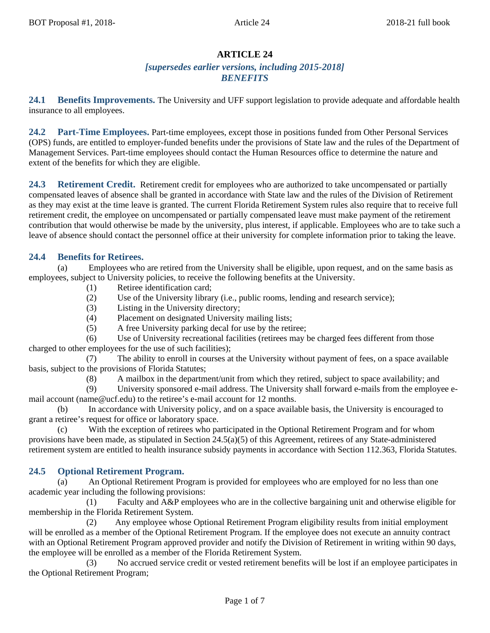# **ARTICLE 24**

# *[supersedes earlier versions, including 2015-2018] BENEFITS*

**24.1 Benefits Improvements.** The University and UFF support legislation to provide adequate and affordable health insurance to all employees.

**24.2 Part-Time Employees.** Part-time employees, except those in positions funded from Other Personal Services (OPS) funds, are entitled to employer-funded benefits under the provisions of State law and the rules of the Department of Management Services. Part-time employees should contact the Human Resources office to determine the nature and extent of the benefits for which they are eligible.

**24.3 Retirement Credit.** Retirement credit for employees who are authorized to take uncompensated or partially compensated leaves of absence shall be granted in accordance with State law and the rules of the Division of Retirement as they may exist at the time leave is granted. The current Florida Retirement System rules also require that to receive full retirement credit, the employee on uncompensated or partially compensated leave must make payment of the retirement contribution that would otherwise be made by the university, plus interest, if applicable. Employees who are to take such a leave of absence should contact the personnel office at their university for complete information prior to taking the leave.

# **24.4 Benefits for Retirees.**

(a) Employees who are retired from the University shall be eligible, upon request, and on the same basis as employees, subject to University policies, to receive the following benefits at the University.

- (1) Retiree identification card;
- (2) Use of the University library (i.e., public rooms, lending and research service);
- (3) Listing in the University directory;
- (4) Placement on designated University mailing lists;
- (5) A free University parking decal for use by the retiree;

(6) Use of University recreational facilities (retirees may be charged fees different from those charged to other employees for the use of such facilities);

(7) The ability to enroll in courses at the University without payment of fees, on a space available basis, subject to the provisions of Florida Statutes;

(8) A mailbox in the department/unit from which they retired, subject to space availability; and

(9) University sponsored e-mail address. The University shall forward e-mails from the employee email account (name@ucf.edu) to the retiree's e-mail account for 12 months.

(b) In accordance with University policy, and on a space available basis, the University is encouraged to grant a retiree's request for office or laboratory space.

(c) With the exception of retirees who participated in the Optional Retirement Program and for whom provisions have been made, as stipulated in Section 24.5(a)(5) of this Agreement, retirees of any State-administered retirement system are entitled to health insurance subsidy payments in accordance with Section 112.363, Florida Statutes.

# **24.5 Optional Retirement Program.**

(a) An Optional Retirement Program is provided for employees who are employed for no less than one academic year including the following provisions:

(1) Faculty and A&P employees who are in the collective bargaining unit and otherwise eligible for membership in the Florida Retirement System.

(2) Any employee whose Optional Retirement Program eligibility results from initial employment will be enrolled as a member of the Optional Retirement Program. If the employee does not execute an annuity contract with an Optional Retirement Program approved provider and notify the Division of Retirement in writing within 90 days, the employee will be enrolled as a member of the Florida Retirement System.

(3) No accrued service credit or vested retirement benefits will be lost if an employee participates in the Optional Retirement Program;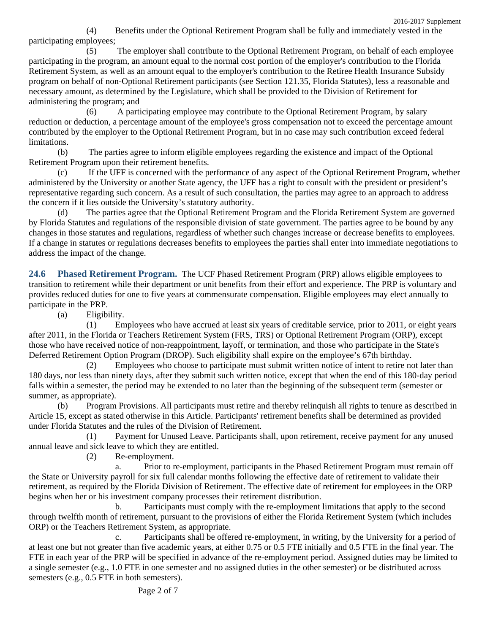(4) Benefits under the Optional Retirement Program shall be fully and immediately vested in the participating employees;

(5) The employer shall contribute to the Optional Retirement Program, on behalf of each employee participating in the program, an amount equal to the normal cost portion of the employer's contribution to the Florida Retirement System, as well as an amount equal to the employer's contribution to the Retiree Health Insurance Subsidy program on behalf of non-Optional Retirement participants (see Section 121.35, Florida Statutes), less a reasonable and necessary amount, as determined by the Legislature, which shall be provided to the Division of Retirement for administering the program; and

(6) A participating employee may contribute to the Optional Retirement Program, by salary reduction or deduction, a percentage amount of the employee's gross compensation not to exceed the percentage amount contributed by the employer to the Optional Retirement Program, but in no case may such contribution exceed federal limitations.

(b) The parties agree to inform eligible employees regarding the existence and impact of the Optional Retirement Program upon their retirement benefits.

(c) If the UFF is concerned with the performance of any aspect of the Optional Retirement Program, whether administered by the University or another State agency, the UFF has a right to consult with the president or president's representative regarding such concern. As a result of such consultation, the parties may agree to an approach to address the concern if it lies outside the University's statutory authority.

(d) The parties agree that the Optional Retirement Program and the Florida Retirement System are governed by Florida Statutes and regulations of the responsible division of state government. The parties agree to be bound by any changes in those statutes and regulations, regardless of whether such changes increase or decrease benefits to employees. If a change in statutes or regulations decreases benefits to employees the parties shall enter into immediate negotiations to address the impact of the change.

**24.6 Phased Retirement Program.** The UCF Phased Retirement Program (PRP) allows eligible employees to transition to retirement while their department or unit benefits from their effort and experience. The PRP is voluntary and provides reduced duties for one to five years at commensurate compensation. Eligible employees may elect annually to participate in the PRP.

(a) Eligibility.

(1) Employees who have accrued at least six years of creditable service, prior to 2011, or eight years after 2011, in the Florida or Teachers Retirement System (FRS, TRS) or Optional Retirement Program (ORP), except those who have received notice of non-reappointment, layoff, or termination, and those who participate in the State's Deferred Retirement Option Program (DROP). Such eligibility shall expire on the employee's 67th birthday.

(2) Employees who choose to participate must submit written notice of intent to retire not later than 180 days, nor less than ninety days, after they submit such written notice, except that when the end of this 180-day period falls within a semester, the period may be extended to no later than the beginning of the subsequent term (semester or summer, as appropriate).

(b) Program Provisions. All participants must retire and thereby relinquish all rights to tenure as described in Article 15, except as stated otherwise in this Article. Participants' retirement benefits shall be determined as provided under Florida Statutes and the rules of the Division of Retirement.

(1) Payment for Unused Leave. Participants shall, upon retirement, receive payment for any unused annual leave and sick leave to which they are entitled.

(2) Re-employment.

a. Prior to re-employment, participants in the Phased Retirement Program must remain off the State or University payroll for six full calendar months following the effective date of retirement to validate their retirement, as required by the Florida Division of Retirement. The effective date of retirement for employees in the ORP begins when her or his investment company processes their retirement distribution.

b. Participants must comply with the re-employment limitations that apply to the second through twelfth month of retirement, pursuant to the provisions of either the Florida Retirement System (which includes ORP) or the Teachers Retirement System, as appropriate.

c. Participants shall be offered re-employment, in writing, by the University for a period of at least one but not greater than five academic years, at either 0.75 or 0.5 FTE initially and 0.5 FTE in the final year. The FTE in each year of the PRP will be specified in advance of the re-employment period. Assigned duties may be limited to a single semester (e.g., 1.0 FTE in one semester and no assigned duties in the other semester) or be distributed across semesters (e.g., 0.5 FTE in both semesters).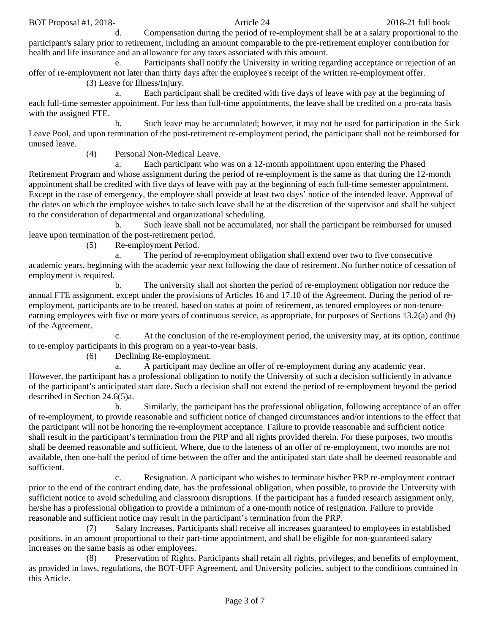BOT Proposal #1, 2018-<br>
2018-21 full book 2018-21 full book

d. Compensation during the period of re-employment shall be at a salary proportional to the participant's salary prior to retirement, including an amount comparable to the pre-retirement employer contribution for health and life insurance and an allowance for any taxes associated with this amount.

e. Participants shall notify the University in writing regarding acceptance or rejection of an offer of re-employment not later than thirty days after the employee's receipt of the written re-employment offer.

(3) Leave for Illness/Injury.

a. Each participant shall be credited with five days of leave with pay at the beginning of each full-time semester appointment. For less than full-time appointments, the leave shall be credited on a pro-rata basis with the assigned FTE.

b. Such leave may be accumulated; however, it may not be used for participation in the Sick Leave Pool, and upon termination of the post-retirement re-employment period, the participant shall not be reimbursed for unused leave.

(4) Personal Non-Medical Leave.

a. Each participant who was on a 12-month appointment upon entering the Phased Retirement Program and whose assignment during the period of re-employment is the same as that during the 12-month appointment shall be credited with five days of leave with pay at the beginning of each full-time semester appointment. Except in the case of emergency, the employee shall provide at least two days' notice of the intended leave. Approval of the dates on which the employee wishes to take such leave shall be at the discretion of the supervisor and shall be subject to the consideration of departmental and organizational scheduling.

b. Such leave shall not be accumulated, nor shall the participant be reimbursed for unused leave upon termination of the post-retirement period.

(5) Re-employment Period.

a. The period of re-employment obligation shall extend over two to five consecutive academic years, beginning with the academic year next following the date of retirement. No further notice of cessation of employment is required.

b. The university shall not shorten the period of re-employment obligation nor reduce the annual FTE assignment, except under the provisions of Articles 16 and 17.10 of the Agreement. During the period of reemployment, participants are to be treated, based on status at point of retirement, as tenured employees or non-tenureearning employees with five or more years of continuous service, as appropriate, for purposes of Sections 13.2(a) and (b) of the Agreement.

c. At the conclusion of the re-employment period, the university may, at its option, continue to re-employ participants in this program on a year-to-year basis.

(6) Declining Re-employment.

a. A participant may decline an offer of re-employment during any academic year. However, the participant has a professional obligation to notify the University of such a decision sufficiently in advance of the participant's anticipated start date. Such a decision shall not extend the period of re-employment beyond the period described in Section 24.6(5)a.

b. Similarly, the participant has the professional obligation, following acceptance of an offer of re-employment, to provide reasonable and sufficient notice of changed circumstances and/or intentions to the effect that the participant will not be honoring the re-employment acceptance. Failure to provide reasonable and sufficient notice shall result in the participant's termination from the PRP and all rights provided therein. For these purposes, two months shall be deemed reasonable and sufficient. Where, due to the lateness of an offer of re-employment, two months are not available, then one-half the period of time between the offer and the anticipated start date shall be deemed reasonable and sufficient.

c. Resignation. A participant who wishes to terminate his/her PRP re-employment contract prior to the end of the contract ending date, has the professional obligation, when possible, to provide the University with sufficient notice to avoid scheduling and classroom disruptions. If the participant has a funded research assignment only, he/she has a professional obligation to provide a minimum of a one-month notice of resignation. Failure to provide reasonable and sufficient notice may result in the participant's termination from the PRP.

(7) Salary Increases. Participants shall receive all increases guaranteed to employees in established positions, in an amount proportional to their part-time appointment, and shall be eligible for non-guaranteed salary increases on the same basis as other employees.

(8) Preservation of Rights. Participants shall retain all rights, privileges, and benefits of employment, as provided in laws, regulations, the BOT-UFF Agreement, and University policies, subject to the conditions contained in this Article.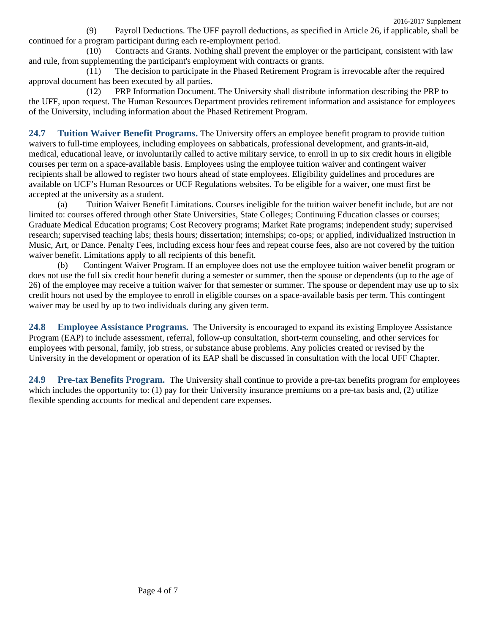(9) Payroll Deductions. The UFF payroll deductions, as specified in Article 26, if applicable, shall be continued for a program participant during each re-employment period.

(10) Contracts and Grants. Nothing shall prevent the employer or the participant, consistent with law and rule, from supplementing the participant's employment with contracts or grants.

(11) The decision to participate in the Phased Retirement Program is irrevocable after the required approval document has been executed by all parties.

(12) PRP Information Document. The University shall distribute information describing the PRP to the UFF, upon request. The Human Resources Department provides retirement information and assistance for employees of the University, including information about the Phased Retirement Program.

**24.7 Tuition Waiver Benefit Programs.** The University offers an employee benefit program to provide tuition waivers to full-time employees, including employees on sabbaticals, professional development, and grants-in-aid, medical, educational leave, or involuntarily called to active military service, to enroll in up to six credit hours in eligible courses per term on a space-available basis. Employees using the employee tuition waiver and contingent waiver recipients shall be allowed to register two hours ahead of state employees. Eligibility guidelines and procedures are available on UCF's Human Resources or UCF Regulations websites. To be eligible for a waiver, one must first be accepted at the university as a student.

(a) Tuition Waiver Benefit Limitations. Courses ineligible for the tuition waiver benefit include, but are not limited to: courses offered through other State Universities, State Colleges; Continuing Education classes or courses; Graduate Medical Education programs; Cost Recovery programs; Market Rate programs; independent study; supervised research; supervised teaching labs; thesis hours; dissertation; internships; co-ops; or applied, individualized instruction in Music, Art, or Dance. Penalty Fees, including excess hour fees and repeat course fees, also are not covered by the tuition waiver benefit. Limitations apply to all recipients of this benefit.

(b) Contingent Waiver Program. If an employee does not use the employee tuition waiver benefit program or does not use the full six credit hour benefit during a semester or summer, then the spouse or dependents (up to the age of 26) of the employee may receive a tuition waiver for that semester or summer. The spouse or dependent may use up to six credit hours not used by the employee to enroll in eligible courses on a space-available basis per term. This contingent waiver may be used by up to two individuals during any given term.

**24.8 Employee Assistance Programs.** The University is encouraged to expand its existing Employee Assistance Program (EAP) to include assessment, referral, follow-up consultation, short-term counseling, and other services for employees with personal, family, job stress, or substance abuse problems. Any policies created or revised by the University in the development or operation of its EAP shall be discussed in consultation with the local UFF Chapter.

**24.9 Pre-tax Benefits Program.** The University shall continue to provide a pre-tax benefits program for employees which includes the opportunity to: (1) pay for their University insurance premiums on a pre-tax basis and, (2) utilize flexible spending accounts for medical and dependent care expenses.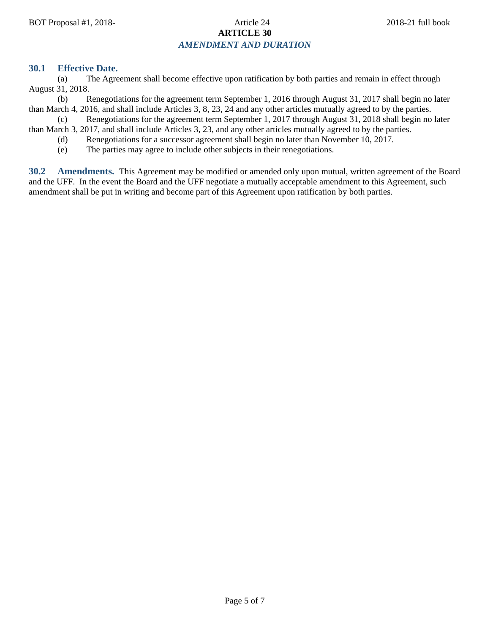# BOT Proposal #1, 2018-<br>
2018-21 full book 2018-21 full book **ARTICLE 30**

# *AMENDMENT AND DURATION*

## **30.1 Effective Date.**

(a) The Agreement shall become effective upon ratification by both parties and remain in effect through August 31, 2018.

(b) Renegotiations for the agreement term September 1, 2016 through August 31, 2017 shall begin no later than March 4, 2016, and shall include Articles 3, 8, 23, 24 and any other articles mutually agreed to by the parties.

(c) Renegotiations for the agreement term September 1, 2017 through August 31, 2018 shall begin no later than March 3, 2017, and shall include Articles 3, 23, and any other articles mutually agreed to by the parties.

- (d) Renegotiations for a successor agreement shall begin no later than November 10, 2017.
- (e) The parties may agree to include other subjects in their renegotiations.

**30.2 Amendments.** This Agreement may be modified or amended only upon mutual, written agreement of the Board and the UFF. In the event the Board and the UFF negotiate a mutually acceptable amendment to this Agreement, such amendment shall be put in writing and become part of this Agreement upon ratification by both parties.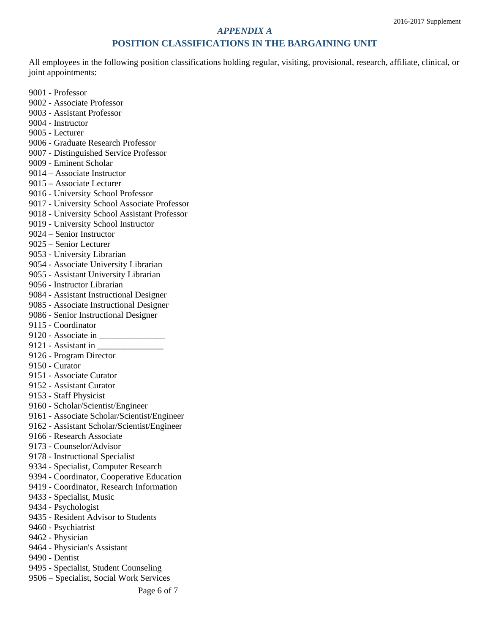#### *APPENDIX A*

### **POSITION CLASSIFICATIONS IN THE BARGAINING UNIT**

All employees in the following position classifications holding regular, visiting, provisional, research, affiliate, clinical, or joint appointments:

- 9001 Professor
- 9002 Associate Professor
- 9003 Assistant Professor
- 9004 Instructor
- 9005 Lecturer
- 9006 Graduate Research Professor
- 9007 Distinguished Service Professor
- 9009 Eminent Scholar
- 9014 Associate Instructor
- 9015 Associate Lecturer
- 9016 University School Professor
- 9017 University School Associate Professor
- 9018 University School Assistant Professor
- 9019 University School Instructor
- 9024 Senior Instructor
- 9025 Senior Lecturer
- 9053 University Librarian
- 9054 Associate University Librarian
- 9055 Assistant University Librarian
- 9056 Instructor Librarian
- 9084 Assistant Instructional Designer
- 9085 Associate Instructional Designer
- 9086 Senior Instructional Designer
- 9115 Coordinator
- 9120 Associate in \_\_\_\_\_\_\_\_\_\_\_\_\_\_\_
- 9121 Assistant in \_\_\_\_\_\_\_\_\_\_\_\_\_\_\_
- 9126 Program Director
- 9150 Curator
- 9151 Associate Curator
- 9152 Assistant Curator
- 9153 Staff Physicist
- 9160 Scholar/Scientist/Engineer
- 9161 Associate Scholar/Scientist/Engineer
- 9162 Assistant Scholar/Scientist/Engineer
- 9166 Research Associate
- 9173 Counselor/Advisor
- 9178 Instructional Specialist
- 9334 Specialist, Computer Research
- 9394 Coordinator, Cooperative Education
- 9419 Coordinator, Research Information
- 9433 Specialist, Music
- 9434 Psychologist
- 9435 Resident Advisor to Students
- 9460 Psychiatrist
- 9462 Physician
- 9464 Physician's Assistant
- 9490 Dentist
- 9495 Specialist, Student Counseling
- 9506 Specialist, Social Work Services